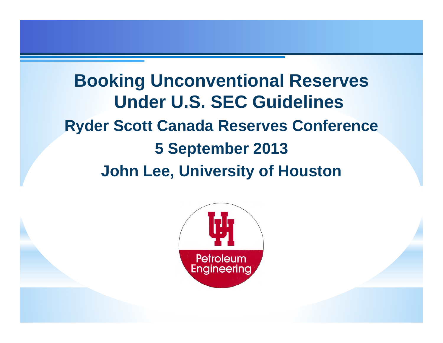**Booking Unconventional Reserves Under U.S. SEC Guidelines Ryder Scott Canada Reserves Conference 5 September 2013 John Lee, University of Houston**

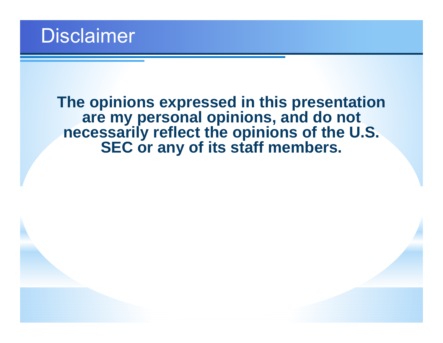**The opinions expressed in this presentation are my personal opinions, and do not necessarily reflect the opinions of the U.S. SEC or any of its staff members.**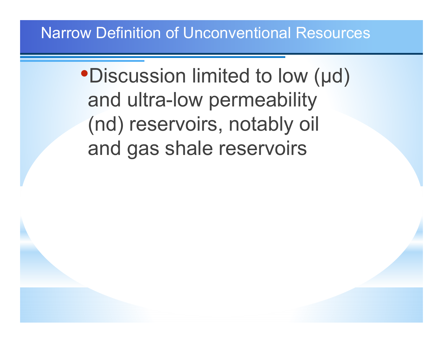#### Narrow Definition of Unconventional Resources

# •Discussion limited to low ( μd) and ultra-low permeability (nd) reservoirs, notably oil and gas shale reservoirs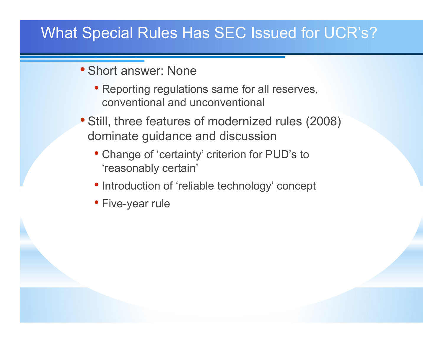### What Special Rules Has SEC Issued for UCR's?

- Short answer: None
	- Reporting regulations same for all reserves, conventional and unconventional
- Still, three features of modernized rules (2008) dominate guidance and discussion
	- Change of 'certainty' criterion for PUD's to 'reasonably certain'
	- Introduction of 'reliable technology' concept
	- Five-year rule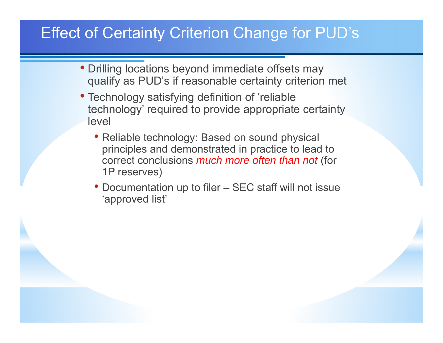### Effect of Certainty Criterion Change for PUD's

- Drilling locations beyond immediate offsets may qualify as PUD's if reasonable certainty criterion met
- Technology satisfying definition of 'reliable technology' required to provide appropriate certainty level
	- Reliable technology: Based on sound physical principles and demonstrated in practice to lead to correct conclusions *much more often than not* (for 1P reserves)
	- Documentation up to filer SEC staff will not issue 'approved list'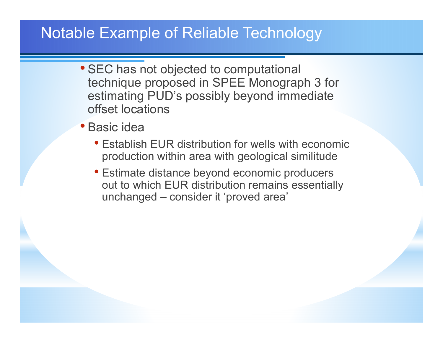#### Notable Example of Reliable Technology

- SEC has not objected to computational technique proposed in SPEE Monograph 3 for estimating PUD's possibly beyond immediate offset locations
- Basic idea
	- Establish EUR distribution for wells with economic production within area with geological similitude
	- Estimate distance beyond economic producers out to which EUR distribution remains essentially unchanged – consider it 'proved area'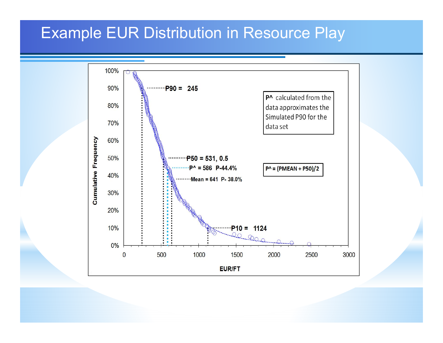#### Example EUR Distribution in Resource Play

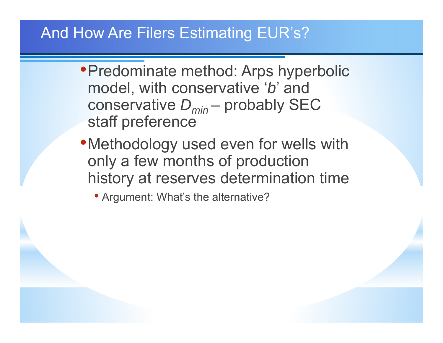### And How Are Filers Estimating EUR's?

- •Predominate method: Arps hyperbolic model, with conservative ' *b*' and conservative *Dmin* – probably SEC staff preference
- Methodology used even for wells with only a few months of production history at reserves determination time

• Argument: What's the alternative?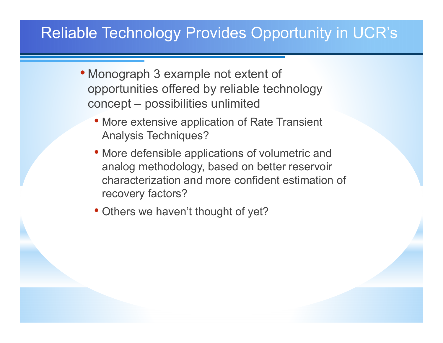### Reliable Technology Provides Opportunity in UCR's

- Monograph 3 example not extent of opportunities offered by reliable technology concept – possibilities unlimited
	- More extensive application of Rate Transient Analysis Techniques?
	- More defensible applications of volumetric and analog methodology, based on better reservoir characterization and more confident estimation of recovery factors?
	- Others we haven't thought of yet?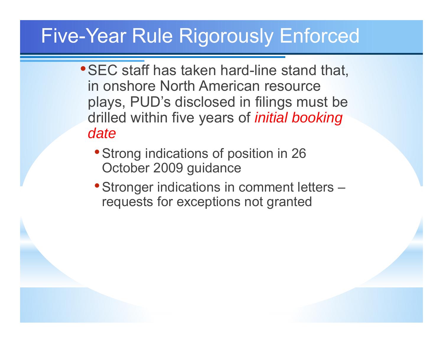## Five-Year Rule Rigorously Enforced

- •SEC staff has taken hard-line stand that, in onshore North American resource plays, PUD's disclosed in filings must be drilled within five years of *initial booking date*
	- Strong indications of position in 26 October 2009 guidance
	- Stronger indications in comment letters requests for exceptions not granted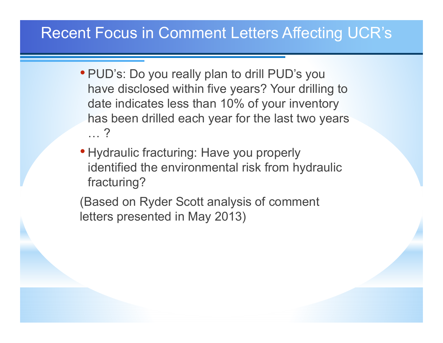### Recent Focus in Comment Letters Affecting UCR's

- PUD's: Do you really plan to drill PUD's you have disclosed within five years? Your drilling to date indicates less than 10% of your inventory has been drilled each year for the last two years … ?
- Hydraulic fracturing: Have you properly identified the environmental risk from hydraulic fracturing?

(Based on Ryder Scott analysis of comment letters presented in May 2013)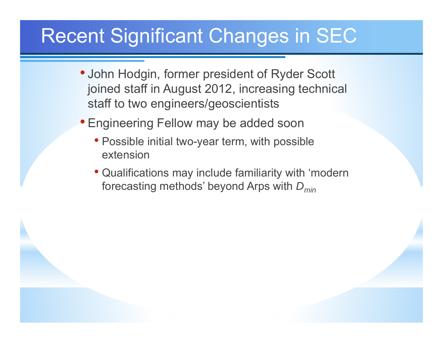## Recent Significant Changes in SEC

- John Hodgin, former president of Ryder Scott joined staff in August 2012, increasing technical staff to two engineers/geoscientists
- Engineering Fellow may be added soon
	- Possible initial two-year term, with possible extension
	- Qualifications may include familiarity with 'modern forecasting methods' beyond Arps with *Dmin*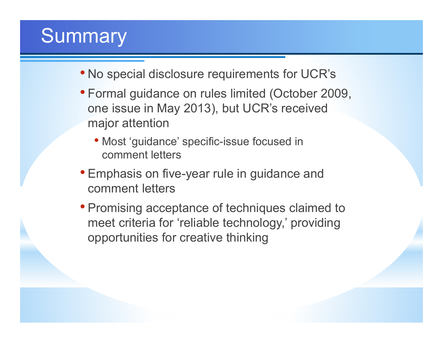# **Summary**

- No special disclosure requirements for UCR's
- Formal guidance on rules limited (October 2009, one issue in May 2013), but UCR's received major attention
	- Most 'guidance' specific-issue focused in comment letters
- Emphasis on five-year rule in guidance and comment letters
- Promising acceptance of techniques claimed to meet criteria for 'reliable technology,' providing opportunities for creative thinking